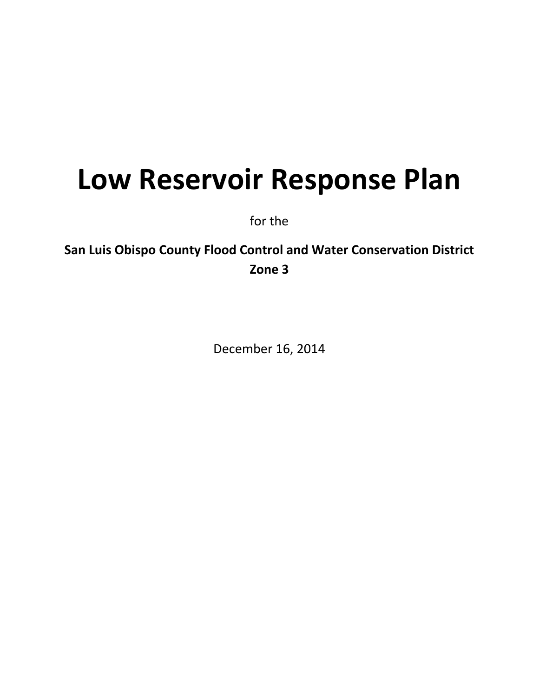# **Low Reservoir Response Plan**

for the

**San Luis Obispo County Flood Control and Water Conservation District Zone 3**

December 16, 2014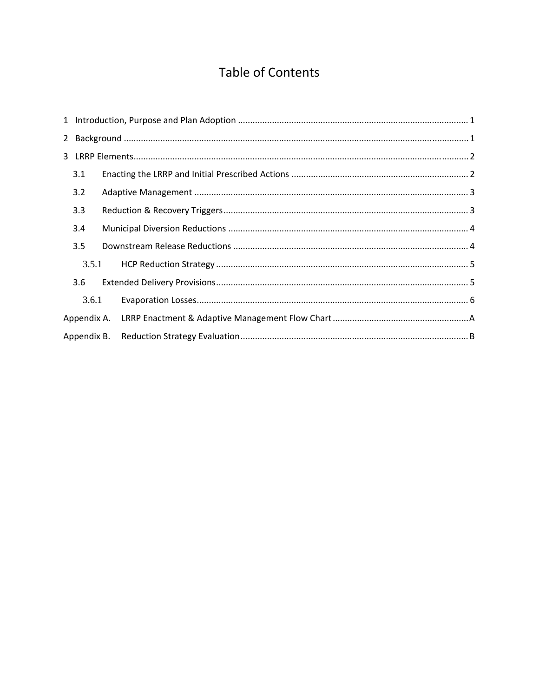## Table of Contents

|             | 3.1         |  |  |  |  |  |  |  |  |
|-------------|-------------|--|--|--|--|--|--|--|--|
|             | 3.2         |  |  |  |  |  |  |  |  |
|             | 3.3         |  |  |  |  |  |  |  |  |
|             | 3.4         |  |  |  |  |  |  |  |  |
|             | 3.5         |  |  |  |  |  |  |  |  |
|             | 3.5.1       |  |  |  |  |  |  |  |  |
|             | 3.6         |  |  |  |  |  |  |  |  |
|             | 3.6.1       |  |  |  |  |  |  |  |  |
|             | Appendix A. |  |  |  |  |  |  |  |  |
| Appendix B. |             |  |  |  |  |  |  |  |  |
|             |             |  |  |  |  |  |  |  |  |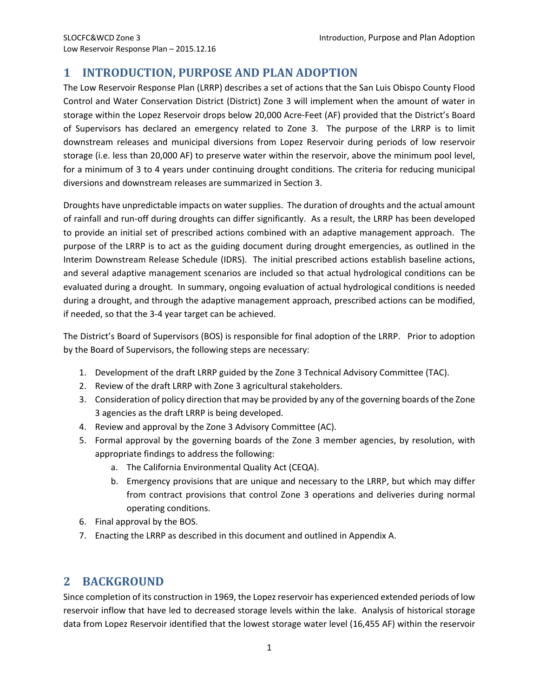## **1 INTRODUCTION, PURPOSE AND PLAN ADOPTION**

The Low Reservoir Response Plan (LRRP) describes a set of actions that the San Luis Obispo County Flood Control and Water Conservation District (District) Zone 3 will implement when the amount of water in storage within the Lopez Reservoir drops below 20,000 Acre‐Feet (AF) provided that the District's Board of Supervisors has declared an emergency related to Zone 3. The purpose of the LRRP is to limit downstream releases and municipal diversions from Lopez Reservoir during periods of low reservoir storage (i.e. less than 20,000 AF) to preserve water within the reservoir, above the minimum pool level, for a minimum of 3 to 4 years under continuing drought conditions. The criteria for reducing municipal diversions and downstream releases are summarized in Section 3.

Droughts have unpredictable impacts on water supplies. The duration of droughts and the actual amount of rainfall and run‐off during droughts can differ significantly. As a result, the LRRP has been developed to provide an initial set of prescribed actions combined with an adaptive management approach. The purpose of the LRRP is to act as the guiding document during drought emergencies, as outlined in the Interim Downstream Release Schedule (IDRS). The initial prescribed actions establish baseline actions, and several adaptive management scenarios are included so that actual hydrological conditions can be evaluated during a drought. In summary, ongoing evaluation of actual hydrological conditions is needed during a drought, and through the adaptive management approach, prescribed actions can be modified, if needed, so that the 3‐4 year target can be achieved.

The District's Board of Supervisors (BOS) is responsible for final adoption of the LRRP. Prior to adoption by the Board of Supervisors, the following steps are necessary:

- 1. Development of the draft LRRP guided by the Zone 3 Technical Advisory Committee (TAC).
- 2. Review of the draft LRRP with Zone 3 agricultural stakeholders.
- 3. Consideration of policy direction that may be provided by any of the governing boards of the Zone 3 agencies as the draft LRRP is being developed.
- 4. Review and approval by the Zone 3 Advisory Committee (AC).
- 5. Formal approval by the governing boards of the Zone 3 member agencies, by resolution, with appropriate findings to address the following:
	- a. The California Environmental Quality Act (CEQA).
	- b. Emergency provisions that are unique and necessary to the LRRP, but which may differ from contract provisions that control Zone 3 operations and deliveries during normal operating conditions.
- 6. Final approval by the BOS.
- 7. Enacting the LRRP as described in this document and outlined in Appendix A.

## **2 BACKGROUND**

Since completion of its construction in 1969, the Lopez reservoir has experienced extended periods of low reservoir inflow that have led to decreased storage levels within the lake. Analysis of historical storage data from Lopez Reservoir identified that the lowest storage water level (16,455 AF) within the reservoir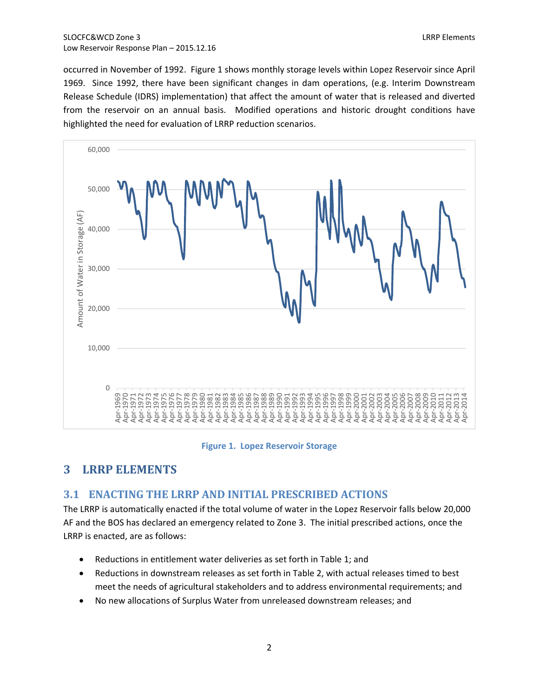occurred in November of 1992. Figure 1 shows monthly storage levels within Lopez Reservoir since April 1969. Since 1992, there have been significant changes in dam operations, (e.g. Interim Downstream Release Schedule (IDRS) implementation) that affect the amount of water that is released and diverted from the reservoir on an annual basis. Modified operations and historic drought conditions have highlighted the need for evaluation of LRRP reduction scenarios.



### **Figure 1. Lopez Reservoir Storage**

## **LRRP ELEMENTS**

## **3.1 ENACTING THE LRRP AND INITIAL PRESCRIBED ACTIONS**

The LRRP is automatically enacted if the total volume of water in the Lopez Reservoir falls below 20,000 AF and the BOS has declared an emergency related to Zone 3. The initial prescribed actions, once the LRRP is enacted, are as follows:

- Reductions in entitlement water deliveries as set forth in Table 1; and
- Reductions in downstream releases as set forth in Table 2, with actual releases timed to best meet the needs of agricultural stakeholders and to address environmental requirements; and
- No new allocations of Surplus Water from unreleased downstream releases; and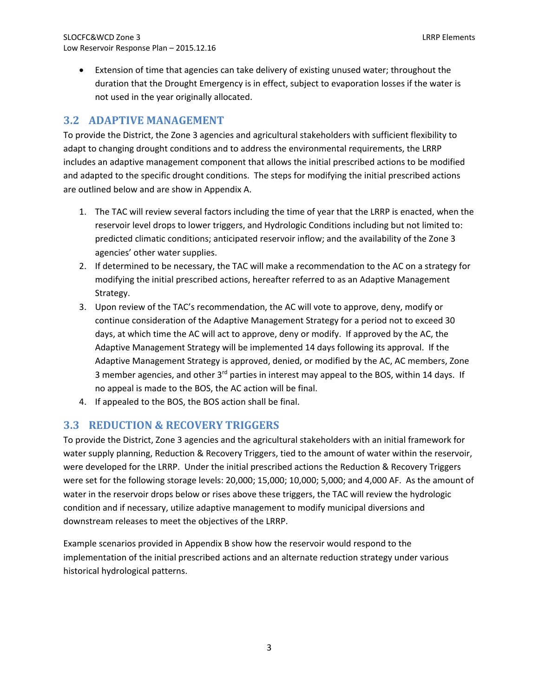Extension of time that agencies can take delivery of existing unused water; throughout the duration that the Drought Emergency is in effect, subject to evaporation losses if the water is not used in the year originally allocated.

## **3.2 ADAPTIVE MANAGEMENT**

To provide the District, the Zone 3 agencies and agricultural stakeholders with sufficient flexibility to adapt to changing drought conditions and to address the environmental requirements, the LRRP includes an adaptive management component that allows the initial prescribed actions to be modified and adapted to the specific drought conditions. The steps for modifying the initial prescribed actions are outlined below and are show in Appendix A.

- 1. The TAC will review several factors including the time of year that the LRRP is enacted, when the reservoir level drops to lower triggers, and Hydrologic Conditions including but not limited to: predicted climatic conditions; anticipated reservoir inflow; and the availability of the Zone 3 agencies' other water supplies.
- 2. If determined to be necessary, the TAC will make a recommendation to the AC on a strategy for modifying the initial prescribed actions, hereafter referred to as an Adaptive Management Strategy.
- 3. Upon review of the TAC's recommendation, the AC will vote to approve, deny, modify or continue consideration of the Adaptive Management Strategy for a period not to exceed 30 days, at which time the AC will act to approve, deny or modify. If approved by the AC, the Adaptive Management Strategy will be implemented 14 days following its approval. If the Adaptive Management Strategy is approved, denied, or modified by the AC, AC members, Zone 3 member agencies, and other 3<sup>rd</sup> parties in interest may appeal to the BOS, within 14 days. If no appeal is made to the BOS, the AC action will be final.
- 4. If appealed to the BOS, the BOS action shall be final.

## **3.3 REDUCTION & RECOVERY TRIGGERS**

To provide the District, Zone 3 agencies and the agricultural stakeholders with an initial framework for water supply planning, Reduction & Recovery Triggers, tied to the amount of water within the reservoir, were developed for the LRRP. Under the initial prescribed actions the Reduction & Recovery Triggers were set for the following storage levels: 20,000; 15,000; 10,000; 5,000; and 4,000 AF. As the amount of water in the reservoir drops below or rises above these triggers, the TAC will review the hydrologic condition and if necessary, utilize adaptive management to modify municipal diversions and downstream releases to meet the objectives of the LRRP.

Example scenarios provided in Appendix B show how the reservoir would respond to the implementation of the initial prescribed actions and an alternate reduction strategy under various historical hydrological patterns.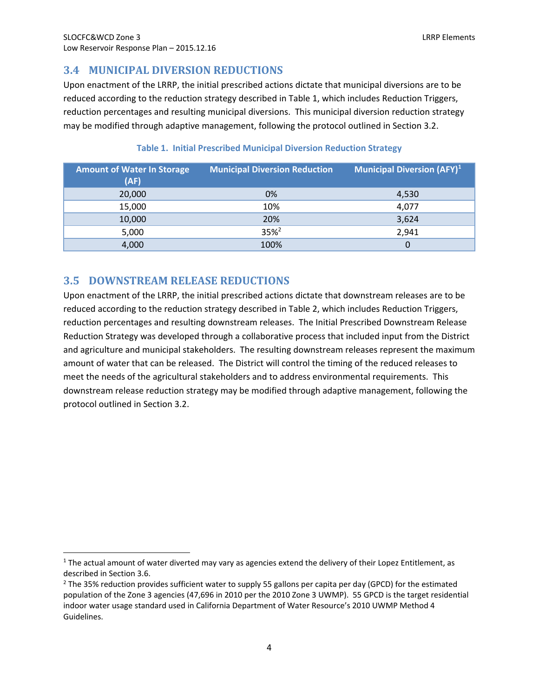## **3.4 MUNICIPAL DIVERSION REDUCTIONS**

Upon enactment of the LRRP, the initial prescribed actions dictate that municipal diversions are to be reduced according to the reduction strategy described in Table 1, which includes Reduction Triggers, reduction percentages and resulting municipal diversions. This municipal diversion reduction strategy may be modified through adaptive management, following the protocol outlined in Section 3.2.

| <b>Amount of Water In Storage</b><br>(AF) | <b>Municipal Diversion Reduction</b> | <b>Municipal Diversion (AFY)</b> <sup>1</sup> |
|-------------------------------------------|--------------------------------------|-----------------------------------------------|
| 20,000                                    | 0%                                   | 4,530                                         |
| 15,000                                    | 10%                                  | 4,077                                         |
| 10,000                                    | 20%                                  | 3,624                                         |
| 5,000                                     | $35%^{2}$                            | 2,941                                         |
| 4,000                                     | 100%                                 | 0                                             |

## **Table 1. Initial Prescribed Municipal Diversion Reduction Strategy**

## **3.5 DOWNSTREAM RELEASE REDUCTIONS**

Upon enactment of the LRRP, the initial prescribed actions dictate that downstream releases are to be reduced according to the reduction strategy described in Table 2, which includes Reduction Triggers, reduction percentages and resulting downstream releases. The Initial Prescribed Downstream Release Reduction Strategy was developed through a collaborative process that included input from the District and agriculture and municipal stakeholders. The resulting downstream releases represent the maximum amount of water that can be released. The District will control the timing of the reduced releases to meet the needs of the agricultural stakeholders and to address environmental requirements. This downstream release reduction strategy may be modified through adaptive management, following the protocol outlined in Section 3.2.

 $1$  The actual amount of water diverted may vary as agencies extend the delivery of their Lopez Entitlement, as described in Section 3.6.

<sup>&</sup>lt;sup>2</sup> The 35% reduction provides sufficient water to supply 55 gallons per capita per day (GPCD) for the estimated population of the Zone 3 agencies (47,696 in 2010 per the 2010 Zone 3 UWMP). 55 GPCD is the target residential indoor water usage standard used in California Department of Water Resource's 2010 UWMP Method 4 Guidelines.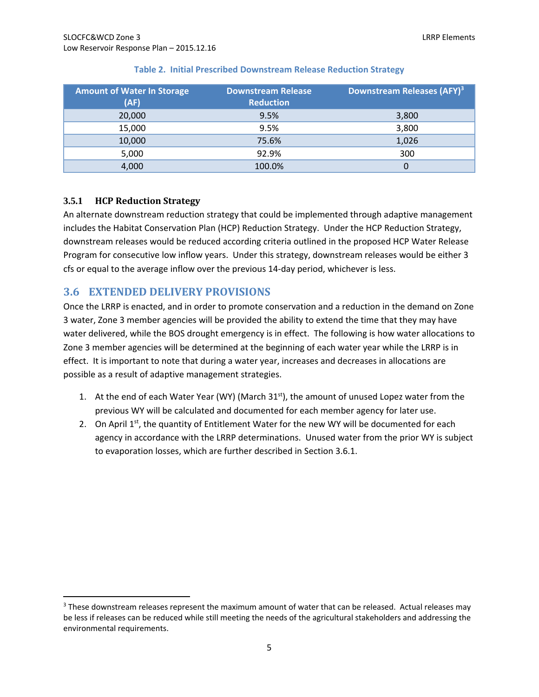| <b>Amount of Water In Storage</b><br>(AF) | <b>Downstream Release</b><br><b>Reduction</b> | Downstream Releases (AFY) <sup>3</sup> |
|-------------------------------------------|-----------------------------------------------|----------------------------------------|
| 20,000                                    | 9.5%                                          | 3,800                                  |
| 15,000                                    | 9.5%                                          | 3,800                                  |
| 10,000                                    | 75.6%                                         | 1,026                                  |
| 5,000                                     | 92.9%                                         | 300                                    |
| 4,000                                     | 100.0%                                        | 0                                      |

### **Table 2. Initial Prescribed Downstream Release Reduction Strategy**

## **3.5.1 HCP Reduction Strategy**

An alternate downstream reduction strategy that could be implemented through adaptive management includes the Habitat Conservation Plan (HCP) Reduction Strategy. Under the HCP Reduction Strategy, downstream releases would be reduced according criteria outlined in the proposed HCP Water Release Program for consecutive low inflow years. Under this strategy, downstream releases would be either 3 cfs or equal to the average inflow over the previous 14‐day period, whichever is less.

## **3.6 EXTENDED DELIVERY PROVISIONS**

Once the LRRP is enacted, and in order to promote conservation and a reduction in the demand on Zone 3 water, Zone 3 member agencies will be provided the ability to extend the time that they may have water delivered, while the BOS drought emergency is in effect. The following is how water allocations to Zone 3 member agencies will be determined at the beginning of each water year while the LRRP is in effect. It is important to note that during a water year, increases and decreases in allocations are possible as a result of adaptive management strategies.

- 1. At the end of each Water Year (WY) (March  $31<sup>st</sup>$ ), the amount of unused Lopez water from the previous WY will be calculated and documented for each member agency for later use.
- 2. On April  $1<sup>st</sup>$ , the quantity of Entitlement Water for the new WY will be documented for each agency in accordance with the LRRP determinations. Unused water from the prior WY is subject to evaporation losses, which are further described in Section 3.6.1.

<sup>&</sup>lt;sup>3</sup> These downstream releases represent the maximum amount of water that can be released. Actual releases may be less if releases can be reduced while still meeting the needs of the agricultural stakeholders and addressing the environmental requirements.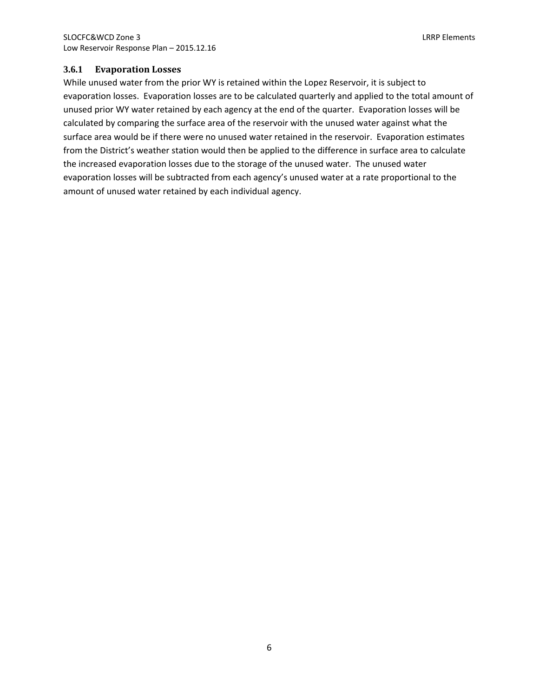## **3.6.1 Evaporation Losses**

While unused water from the prior WY is retained within the Lopez Reservoir, it is subject to evaporation losses. Evaporation losses are to be calculated quarterly and applied to the total amount of unused prior WY water retained by each agency at the end of the quarter. Evaporation losses will be calculated by comparing the surface area of the reservoir with the unused water against what the surface area would be if there were no unused water retained in the reservoir. Evaporation estimates from the District's weather station would then be applied to the difference in surface area to calculate the increased evaporation losses due to the storage of the unused water. The unused water evaporation losses will be subtracted from each agency's unused water at a rate proportional to the amount of unused water retained by each individual agency.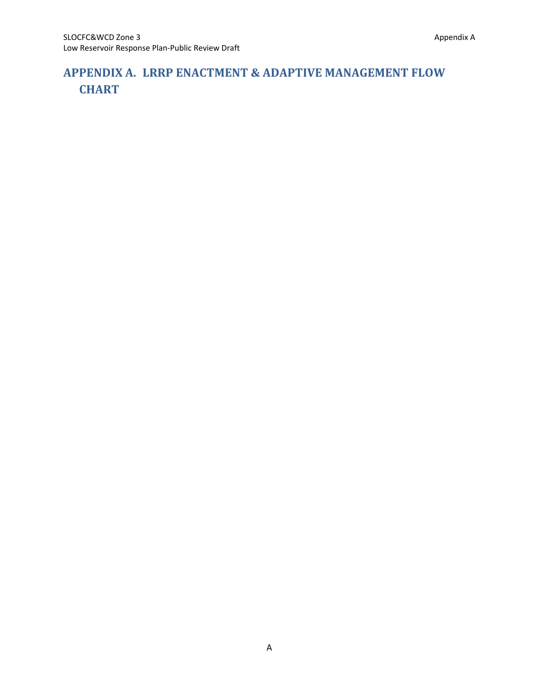## **APPENDIX A. LRRP ENACTMENT & ADAPTIVE MANAGEMENT FLOW CHART**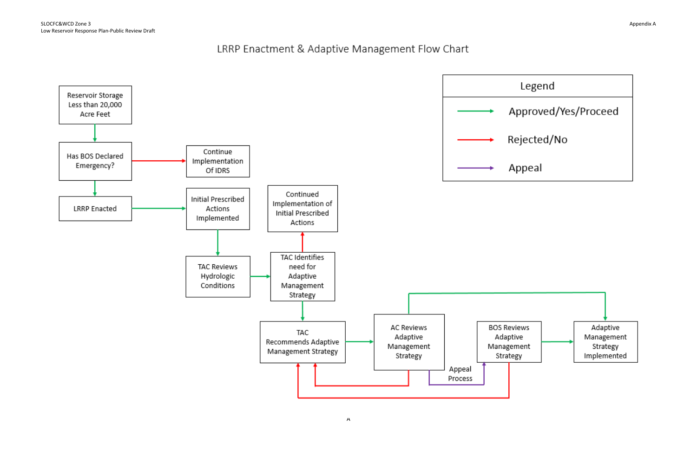## LRRP Enactment & Adaptive Management Flow Chart

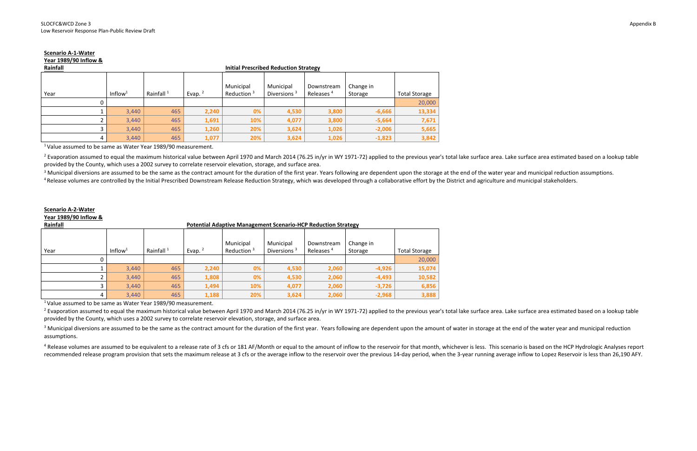## **Scenario A‐1‐Water**

|  |  |  | Year 1989/90 Inflow & |  |
|--|--|--|-----------------------|--|
|--|--|--|-----------------------|--|

|  | Rainfall |  |
|--|----------|--|
|  |          |  |

| Rainfall |                     |                       |           | <b>Initial Prescribed Reduction Strategy</b> |                                      |                                     |                      |                      |  |  |
|----------|---------------------|-----------------------|-----------|----------------------------------------------|--------------------------------------|-------------------------------------|----------------------|----------------------|--|--|
| Year     | Inflow <sup>1</sup> | Rainfall <sup>1</sup> | Evap. $2$ | Municipal<br>Reduction <sup>3</sup>          | Municipal<br>Diversions <sup>3</sup> | Downstream<br>Releases <sup>4</sup> | Change in<br>Storage | <b>Total Storage</b> |  |  |
|          |                     |                       |           |                                              |                                      |                                     |                      | 20,000               |  |  |
|          | 3,440               | 465                   | 2,240     | 0%                                           | 4,530                                | 3,800                               | $-6,666$             | 13,334               |  |  |
|          | 3,440               | 465                   | 1,691     | 10%                                          | 4,077                                | 3,800                               | $-5,664$             | 7,671                |  |  |
|          | 3,440               | 465                   | 1,260     | 20%                                          | 3,624                                | 1,026                               | $-2,006$             | 5,665                |  |  |
|          | 3,440               | 465                   | 1,077     | 20%                                          | 3,624                                | 1,026                               | $-1,823$             | 3,842                |  |  |

 $^1$ Value assumed to be same as Water Year 1989/90 measurement.

<sup>2</sup> Evaporation assumed to equal the maximum historical value between April 1970 and March 2014 (76.25 in/yr in WY 1971-72) applied to the previous year's total lake surface area. Lake surface area estimated based on a loo provided by the County, which uses <sup>a</sup> 2002 survey to correlate reservoir elevation, storage, and surface area.

 $3$  Municipal diversions are assumed to be the same as the contract amount for the duration of the first year. Years following are dependent upon the storage at the end of the water year and municipal reduction assumption

<sup>4</sup> Release volumes are controlled by the Initial Prescribed Downstream Release Reduction Strategy, which was developed through a collaborative effort by the District and agriculture and municipal stakeholders.

<sup>2</sup> Evaporation assumed to equal the maximum historical value between April 1970 and March 2014 (76.25 in/yr in WY 1971-72) applied to the previous year's total lake surface area. Lake surface area estimated based on a loo provided by the County, which uses <sup>a</sup> 2002 survey to correlate reservoir elevation, storage, and surface area.

 $3$  Municipal diversions are assumed to be the same as the contract amount for the duration of the first year. Years following are dependent upon the amount of water in storage at the end of the water year and municipal r assumptions.

<sup>4</sup> Release volumes are assumed to be equivalent to a release rate of 3 cfs or 181 AF/Month or equal to the amount of inflow to the reservoir for that month, whichever is less. This scenario is based on the HCP Hydrologic recommended release program provision that sets the maximum release at 3 cfs or the average inflow to the reservoir over the previous 14-day period, when the 3-year running average inflow to Lopez Reservoir is less than 26

## **Scenario A‐2‐Water**

### **Year 1989/90 Inflow &**

| Rainfall |                     |                       |           | <b>Potential Adaptive Management Scenario-HCP Reduction Strategy</b> |                             |                                     |                      |                      |  |  |  |
|----------|---------------------|-----------------------|-----------|----------------------------------------------------------------------|-----------------------------|-------------------------------------|----------------------|----------------------|--|--|--|
| Year     | Inflow <sup>1</sup> | Rainfall <sup>1</sup> | Evap. $2$ | Municipal<br>Reduction <sup>3</sup>                                  | Municipal<br>Diversions $3$ | Downstream<br>Releases <sup>4</sup> | Change in<br>Storage | <b>Total Storage</b> |  |  |  |
|          |                     |                       |           |                                                                      |                             |                                     |                      | 20,000               |  |  |  |
|          | 3,440               | 465                   | 2,240     | 0%                                                                   | 4,530                       | 2,060                               | $-4,926$             | 15,074               |  |  |  |
|          | 3,440               | 465                   | 1,808     | 0%                                                                   | 4,530                       | 2,060                               | $-4,493$             | 10,582               |  |  |  |
|          | 3,440               | 465                   | 1,494     | 10%                                                                  | 4,077                       | 2,060                               | $-3,726$             | 6,856                |  |  |  |
|          | 3,440               | 465                   | 1,188     | 20%                                                                  | 3,624                       | 2,060                               | $-2,968$             | 3,888                |  |  |  |

 $^1$ Value assumed to be same as Water Year 1989/90 measurement.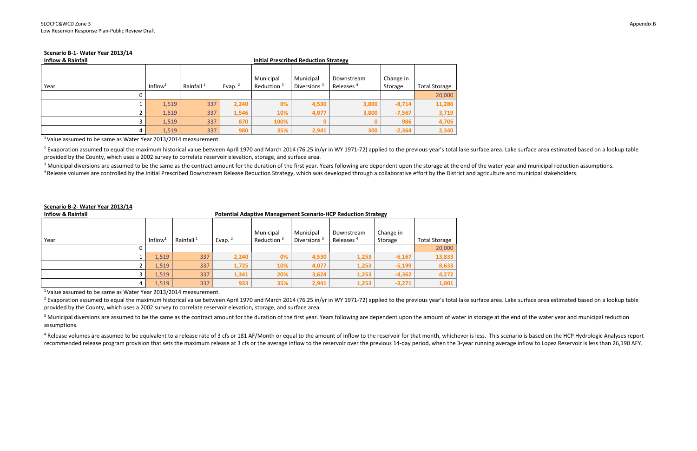## **Scenario B‐1‐ Water Year 2013/14**

| <b>Inflow &amp; Rainfall</b> |                     |                       | <b>Initial Prescribed Reduction Strategy</b> |                                     |                             |                                     |                      |                      |
|------------------------------|---------------------|-----------------------|----------------------------------------------|-------------------------------------|-----------------------------|-------------------------------------|----------------------|----------------------|
| Year                         | Inflow <sup>1</sup> | Rainfall <sup>1</sup> | Evap. $2$                                    | Municipal<br>Reduction <sup>3</sup> | Municipal<br>Diversions $3$ | Downstream<br>Releases <sup>4</sup> | Change in<br>Storage | <b>Total Storage</b> |
| 0                            |                     |                       |                                              |                                     |                             |                                     |                      | 20,000               |
|                              | 1,519               | 337                   | 2,240                                        | 0%                                  | 4,530                       | 3,800                               | $-8,714$             | 11,286               |
| ∠                            | 1,519               | 337                   | 1,546                                        | 10%                                 | 4,077                       | 3,800                               | $-7,567$             | 3,719                |
|                              | 1,519               | 337                   | 870                                          | 100%                                |                             |                                     | 986                  | 4,705                |
|                              | 1,519               | 337                   | 980                                          | 35%                                 | 2,941                       | 300                                 | $-2,364$             | 2,340                |

 $^1$ Value assumed to be same as Water Year 2013/2014 measurement.

<sup>2</sup> Evaporation assumed to equal the maximum historical value between April 1970 and March 2014 (76.25 in/yr in WY 1971-72) applied to the previous year's total lake surface area. Lake surface area estimated based on a loo provided by the County, which uses <sup>a</sup> 2002 survey to correlate reservoir elevation, storage, and surface area.

<sup>3</sup> Municipal diversions are assumed to be the same as the contract amount for the duration of the first year. Years following are dependent upon the storage at the end of the water year and municipal reduction assumption <sup>4</sup> Release volumes are controlled by the Initial Prescribed Downstream Release Reduction Strategy, which was developed through a collaborative effort by the District and agriculture and municipal stakeholders.

<sup>2</sup> Evaporation assumed to equal the maximum historical value between April 1970 and March 2014 (76.25 in/yr in WY 1971-72) applied to the previous year's total lake surface area. Lake surface area estimated based on a loo provided by the County, which uses <sup>a</sup> 2002 survey to correlate reservoir elevation, storage, and surface area.

<sup>3</sup> Municipal diversions are assumed to be the same as the contract amount for the duration of the first year. Years following are dependent upon the amount of water in storage at the end of the water year and municipal re assumptions.

<sup>4</sup> Release volumes are assumed to be equivalent to a release rate of 3 cfs or 181 AF/Month or equal to the amount of inflow to the reservoir for that month, whichever is less. This scenario is based on the HCP Hydrologic recommended release program provision that sets the maximum release at 3 cfs or the average inflow to the reservoir over the previous 14-day period, when the 3-year running average inflow to Lopez Reservoir is less than 26

## **Scenario B‐2‐ Water Year 2013/14**

| <b>Inflow &amp; Rainfall</b> | <b>Potential Adaptive Management Scenario-HCP Reduction Strategy</b> |                       |           |                                     |                                      |                                     |                      |                      |
|------------------------------|----------------------------------------------------------------------|-----------------------|-----------|-------------------------------------|--------------------------------------|-------------------------------------|----------------------|----------------------|
| Year                         | Inflow                                                               | Rainfall <sup>1</sup> | Evap. $2$ | Municipal<br>Reduction <sup>3</sup> | Municipal<br>Diversions <sup>3</sup> | Downstream<br>Releases <sup>4</sup> | Change in<br>Storage | <b>Total Storage</b> |
|                              |                                                                      |                       |           |                                     |                                      |                                     |                      | 20,000               |
|                              | 1,519                                                                | 337                   | 2,240     | 0%                                  | 4,530                                | 1,253                               | $-6,167$             | 13,833               |
|                              | 1,519                                                                | 337                   | 1,725     | 10%                                 | 4,077                                | 1,253                               | $-5,199$             | 8,633                |
|                              | 1,519                                                                | 337                   | 1,341     | 20%                                 | 3,624                                | 1,253                               | $-4,362$             | 4,272                |
|                              | 1,519                                                                | 337                   | 933       | 35%                                 | 2,941                                | 1,253                               | $-3,271$             | 1,001                |

 $^1$ Value assumed to be same as Water Year 2013/2014 measurement.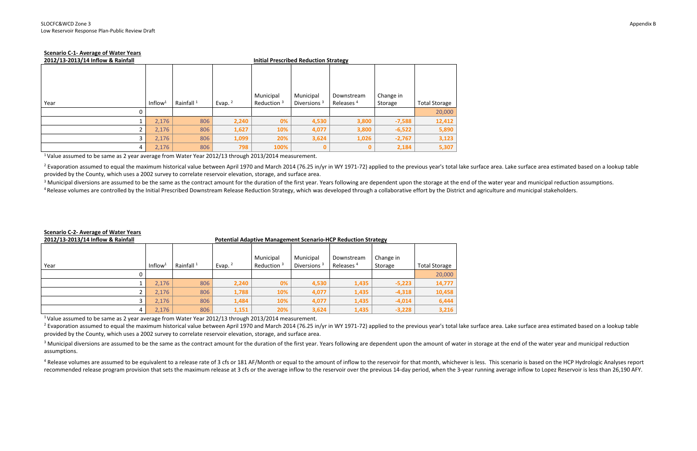## **Scenario C‐1‐ Average of Water Years**

| 2012/13-2013/14 Inflow & Rainfall |                     |                       | <b>Initial Prescribed Reduction Strategy</b> |                            |                                      |                                     |                      |                      |
|-----------------------------------|---------------------|-----------------------|----------------------------------------------|----------------------------|--------------------------------------|-------------------------------------|----------------------|----------------------|
| Year                              | Inflow <sup>1</sup> | Rainfall <sup>1</sup> | Evap. $2$                                    | Municipal<br>Reduction $3$ | Municipal<br>Diversions <sup>3</sup> | Downstream<br>Releases <sup>4</sup> | Change in<br>Storage | <b>Total Storage</b> |
|                                   |                     |                       |                                              |                            |                                      |                                     |                      | 20,000               |
|                                   | 2,176               | 806                   | 2,240                                        | 0%                         | 4,530                                | 3,800                               | $-7,588$             | 12,412               |
|                                   | 2,176               | 806                   | 1,627                                        | 10%                        | 4,077                                | 3,800                               | $-6,522$             | 5,890                |
|                                   | 2,176               | 806                   | 1,099                                        | 20%                        | 3,624                                | 1,026                               | $-2,767$             | 3,123                |
| 4                                 | 2,176               | 806                   | 798                                          | 100%                       | 0                                    |                                     | 2,184                | 5,307                |

 $^{\rm 1}$ Value assumed to be same as 2 year average from Water Year 2012/13 through 2013/2014 measurement.

<sup>2</sup> Evaporation assumed to equal the maximum historical value between April 1970 and March 2014 (76.25 in/yr in WY 1971-72) applied to the previous year's total lake surface area. Lake surface area estimated based on a loo provided by the County, which uses <sup>a</sup> 2002 survey to correlate reservoir elevation, storage, and surface area.

<sup>3</sup> Municipal diversions are assumed to be the same as the contract amount for the duration of the first year. Years following are dependent upon the storage at the end of the water year and municipal reduction assumption <sup>4</sup> Release volumes are controlled by the Initial Prescribed Downstream Release Reduction Strategy, which was developed through a collaborative effort by the District and agriculture and municipal stakeholders.

<sup>2</sup> Evaporation assumed to equal the maximum historical value between April 1970 and March 2014 (76.25 in/yr in WY 1971-72) applied to the previous year's total lake surface area. Lake surface area estimated based on a loo provided by the County, which uses <sup>a</sup> 2002 survey to correlate reservoir elevation, storage, and surface area.

 $3$  Municipal diversions are assumed to be the same as the contract amount for the duration of the first year. Years following are dependent upon the amount of water in storage at the end of the water year and municipal r assumptions.

<sup>4</sup> Release volumes are assumed to be equivalent to a release rate of 3 cfs or 181 AF/Month or equal to the amount of inflow to the reservoir for that month, whichever is less. This scenario is based on the HCP Hydrologic recommended release program provision that sets the maximum release at 3 cfs or the average inflow to the reservoir over the previous 14-day period, when the 3-year running average inflow to Lopez Reservoir is less than 26

## **Scenario C‐2‐ Average of Water Years**

| 2012/13-2013/14 Inflow & Rainfall |                     |                       | <b>Potential Adaptive Management Scenario-HCP Reduction Strategy</b> |                            |                                      |                                     |                      |                      |
|-----------------------------------|---------------------|-----------------------|----------------------------------------------------------------------|----------------------------|--------------------------------------|-------------------------------------|----------------------|----------------------|
| Year                              | Inflow <sup>1</sup> | Rainfall <sup>1</sup> | Evap. $2$                                                            | Municipal<br>Reduction $3$ | Municipal<br>Diversions <sup>3</sup> | Downstream<br>Releases <sup>4</sup> | Change in<br>Storage | <b>Total Storage</b> |
|                                   |                     |                       |                                                                      |                            |                                      |                                     |                      | 20,000               |
|                                   | 2,176               | 806                   | 2,240                                                                | 0%                         | 4,530                                | 1,435                               | $-5,223$             | 14,777               |
|                                   | 2,176               | 806                   | 1,788                                                                | 10%                        | 4,077                                | 1,435                               | $-4,318$             | 10,458               |
| J.                                | 2,176               | 806                   | 1,484                                                                | 10%                        | 4,077                                | 1,435                               | $-4,014$             | 6,444                |
| 4                                 | 2,176               | 806                   | 1,151                                                                | 20%                        | 3,624                                | 1,435                               | $-3,228$             | 3,216                |

 $^{\text{1}}$ Value assumed to be same as 2 year average from Water Year 2012/13 through 2013/2014 measurement.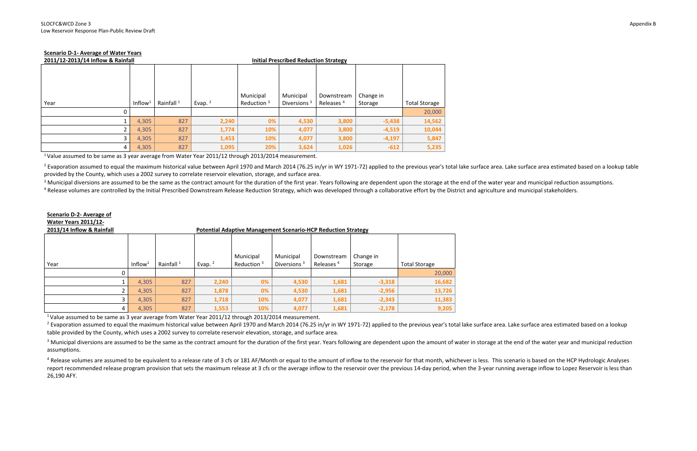## **Scenario D‐1‐ Average of Water Years**

| 2011/12-2013/14 Inflow & Rainfall |                     |                       |           | <b>Initial Prescribed Reduction Strategy</b> |                |                       |           |                      |
|-----------------------------------|---------------------|-----------------------|-----------|----------------------------------------------|----------------|-----------------------|-----------|----------------------|
|                                   |                     |                       |           |                                              |                |                       |           |                      |
|                                   |                     |                       |           |                                              |                |                       |           |                      |
|                                   |                     |                       |           |                                              |                |                       |           |                      |
|                                   |                     |                       |           |                                              |                |                       |           |                      |
|                                   |                     |                       |           | Municipal                                    | Municipal      | Downstream            | Change in |                      |
| Year                              | Inflow <sup>1</sup> | Rainfall <sup>1</sup> | Evap. $2$ | Reduction <sup>3</sup>                       | Diversions $3$ | Releases <sup>4</sup> | Storage   | <b>Total Storage</b> |
| 0                                 |                     |                       |           |                                              |                |                       |           | 20,000               |
|                                   | 4,305               | 827                   | 2,240     | 0%                                           | 4,530          | 3,800                 | $-5,438$  | 14,562               |
|                                   | 4,305               | 827                   | 1,774     | 10%                                          | 4,077          | 3,800                 | $-4,519$  | 10,044               |
|                                   | 4,305               | 827                   | 1,453     | 10%                                          | 4,077          | 3,800                 | $-4,197$  | 5,847                |
| 4                                 | 4,305               | 827                   | 1,095     | 20%                                          | 3,624          | 1,026                 | $-612$    | 5,235                |

 $^{\rm 1}$ Value assumed to be same as 3 year average from Water Year 2011/12 through 2013/2014 measurement.

<sup>2</sup> Evaporation assumed to equal the maximum historical value between April 1970 and March 2014 (76.25 in/yr in WY 1971-72) applied to the previous year's total lake surface area. Lake surface area estimated based on a loo provided by the County, which uses <sup>a</sup> 2002 survey to correlate reservoir elevation, storage, and surface area.

<sup>3</sup> Municipal diversions are assumed to be the same as the contract amount for the duration of the first year. Years following are dependent upon the storage at the end of the water year and municipal reduction assumption

<sup>4</sup> Release volumes are controlled by the Initial Prescribed Downstream Release Reduction Strategy, which was developed through a collaborative effort by the District and agriculture and municipal stakeholders.

<sup>2</sup> Evaporation assumed to equal the maximum historical value between April 1970 and March 2014 (76.25 in/yr in WY 1971-72) applied to the previous year's total lake surface area. Lake surface area estimated based on a lo table provided by the County, which uses <sup>a</sup> 2002 survey to correlate reservoir elevation, storage, and surface area.

 $3$  Municipal diversions are assumed to be the same as the contract amount for the duration of the first year. Years following are dependent upon the amount of water in storage at the end of the water year and municipal r assumptions.

## **Scenario D‐2‐ Average of Water Years 2011/12‐**

**2013/14 Inflow & Rainfall Potential Adaptive Management Scenario‐HCP Reduction Strategy**

<sup>4</sup> Release volumes are assumed to be equivalent to a release rate of 3 cfs or 181 AF/Month or equal to the amount of inflow to the reservoir for that month, whichever is less. This scenario is based on the HCP Hydrologic report recommended release program provision that sets the maximum release at 3 cfs or the average inflow to the reservoir over the previous 14-day period, when the 3-year running average inflow to Lopez Reservoir is less 26,190 AFY.

|      |                     |                       |           | Municipal     | Municipal               | Downstream            | Change in |                      |
|------|---------------------|-----------------------|-----------|---------------|-------------------------|-----------------------|-----------|----------------------|
| Year | Inflow <sup>1</sup> | Rainfall <sup>1</sup> | Evap. $2$ | Reduction $3$ | Diversions <sup>3</sup> | Releases <sup>4</sup> | Storage   | <b>Total Storage</b> |
|      |                     |                       |           |               |                         |                       |           | 20,000               |
|      | 4,305               | 827                   | 2,240     | 0%            | 4,530                   | 1,681                 | $-3,318$  | 16,682               |
|      | 4,305               | 827                   | 1,878     | 0%            | 4,530                   | 1,681                 | $-2,956$  | 13,726               |
|      | 4,305               | 827                   | 1,718     | 10%           | 4,077                   | 1,681                 | $-2,343$  | 11,383               |
| 4    | 4,305               | 827                   | 1,553     | 10%           | 4,077                   | 1,681                 | $-2,178$  | 9,205                |

 $^{\text{1}}$ Value assumed to be same as 3 year average from Water Year 2011/12 through 2013/2014 measurement.